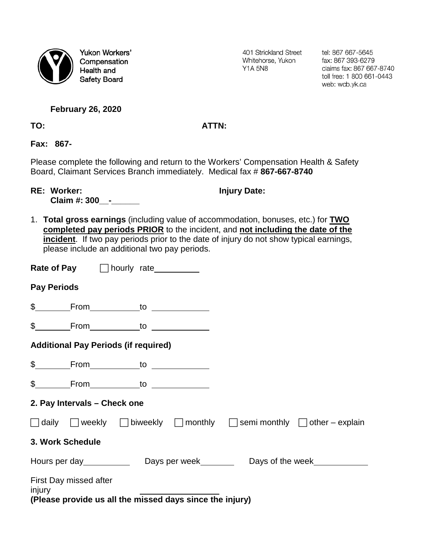

Yukon Workers' Compensation Health and **Safety Board** 

401 Strickland Street Whitehorse, Yukon **Y1A 5N8** 

tel: 867 667-5645 fax: 867 393-6279 claims fax: 867 667-8740 toll free: 1 800 661-0443 web: wcb.yk.ca

## **February 26, 2020**

## **TO: ATTN:**

**Fax: 867-**

Please complete the following and return to the Workers' Compensation Health & Safety Board, Claimant Services Branch immediately. Medical fax # **867-667-8740**

**RE: Worker: Injury Date:** 

**Claim #: 300\_\_-\_\_\_\_\_\_**

1. **Total gross earnings** (including value of accommodation, bonuses, etc.) for **TWO completed pay periods PRIOR** to the incident, and **not including the date of the incident**. If two pay periods prior to the date of injury do not show typical earnings, please include an additional two pay periods.

|                                                                                         | <b>Rate of Pay</b> □ hourly rate                                                                     |  |  |
|-----------------------------------------------------------------------------------------|------------------------------------------------------------------------------------------------------|--|--|
| <b>Pay Periods</b>                                                                      |                                                                                                      |  |  |
|                                                                                         |                                                                                                      |  |  |
|                                                                                         | \$ _______From_____________to _______________                                                        |  |  |
| <b>Additional Pay Periods (if required)</b>                                             |                                                                                                      |  |  |
|                                                                                         | \$________From_____________to ______________                                                         |  |  |
|                                                                                         |                                                                                                      |  |  |
| 2. Pay Intervals - Check one                                                            |                                                                                                      |  |  |
|                                                                                         | $\Box$ daily $\Box$ weekly $\Box$ biweekly $\Box$ monthly $\Box$ semi monthly $\Box$ other – explain |  |  |
| 3. Work Schedule                                                                        |                                                                                                      |  |  |
| Hours per day __________________Days per week_____________Days of the week_____________ |                                                                                                      |  |  |
| First Day missed after<br>injury                                                        | (Please provide us all the missed days since the injury)                                             |  |  |